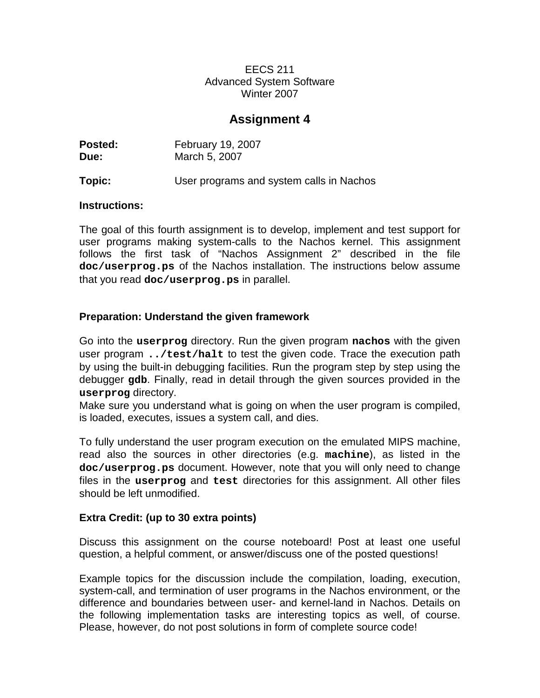### EECS 211 Advanced System Software Winter 2007

# **Assignment 4**

| Posted: | <b>February 19, 2007</b> |
|---------|--------------------------|
| Due:    | March 5, 2007            |
|         |                          |

# **Topic:** User programs and system calls in Nachos

#### **Instructions:**

The goal of this fourth assignment is to develop, implement and test support for user programs making system-calls to the Nachos kernel. This assignment follows the first task of "Nachos Assignment 2" described in the file **doc/userprog.ps** of the Nachos installation. The instructions below assume that you read **doc/userprog.ps** in parallel.

### **Preparation: Understand the given framework**

Go into the **userprog** directory. Run the given program **nachos** with the given user program **../test/halt** to test the given code. Trace the execution path by using the built-in debugging facilities. Run the program step by step using the debugger **gdb**. Finally, read in detail through the given sources provided in the **userprog** directory.

Make sure you understand what is going on when the user program is compiled, is loaded, executes, issues a system call, and dies.

To fully understand the user program execution on the emulated MIPS machine, read also the sources in other directories (e.g. **machine**), as listed in the **doc/userprog.ps** document. However, note that you will only need to change files in the **userprog** and **test** directories for this assignment. All other files should be left unmodified.

#### **Extra Credit: (up to 30 extra points)**

Discuss this assignment on the course noteboard! Post at least one useful question, a helpful comment, or answer/discuss one of the posted questions!

Example topics for the discussion include the compilation, loading, execution, system-call, and termination of user programs in the Nachos environment, or the difference and boundaries between user- and kernel-land in Nachos. Details on the following implementation tasks are interesting topics as well, of course. Please, however, do not post solutions in form of complete source code!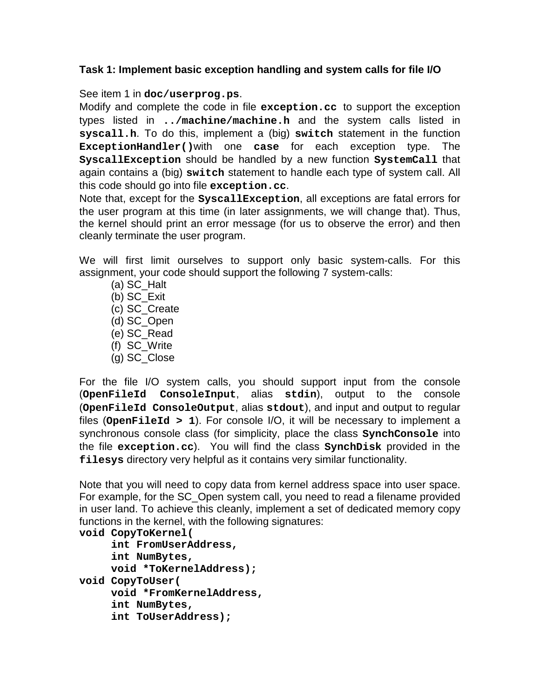### **Task 1: Implement basic exception handling and system calls for file I/O**

See item 1 in **doc/userprog.ps**.

Modify and complete the code in file **exception.cc** to support the exception types listed in **../machine/machine.h** and the system calls listed in **syscall.h**. To do this, implement a (big) **switch** statement in the function **ExceptionHandler()**with one **case** for each exception type. The **SyscallException** should be handled by a new function **SystemCall** that again contains a (big) **switch** statement to handle each type of system call. All this code should go into file **exception.cc**.

Note that, except for the **SyscallException**, all exceptions are fatal errors for the user program at this time (in later assignments, we will change that). Thus, the kernel should print an error message (for us to observe the error) and then cleanly terminate the user program.

We will first limit ourselves to support only basic system-calls. For this assignment, your code should support the following 7 system-calls:

- (a) SC\_Halt
- (b) SC\_Exit
- (c) SC\_Create
- (d) SC\_Open
- (e) SC\_Read
- (f) SC\_Write
- (g) SC\_Close

For the file I/O system calls, you should support input from the console (**OpenFileId ConsoleInput**, alias **stdin**), output to the console (**OpenFileId ConsoleOutput**, alias **stdout**), and input and output to regular files (**OpenFileId > 1**). For console I/O, it will be necessary to implement a synchronous console class (for simplicity, place the class **SynchConsole** into the file **exception.cc**). You will find the class **SynchDisk** provided in the **filesys** directory very helpful as it contains very similar functionality.

Note that you will need to copy data from kernel address space into user space. For example, for the SC\_Open system call, you need to read a filename provided in user land. To achieve this cleanly, implement a set of dedicated memory copy functions in the kernel, with the following signatures:

```
void CopyToKernel(
     int FromUserAddress,
     int NumBytes,
     void *ToKernelAddress);
void CopyToUser(
    void *FromKernelAddress,
     int NumBytes,
     int ToUserAddress);
```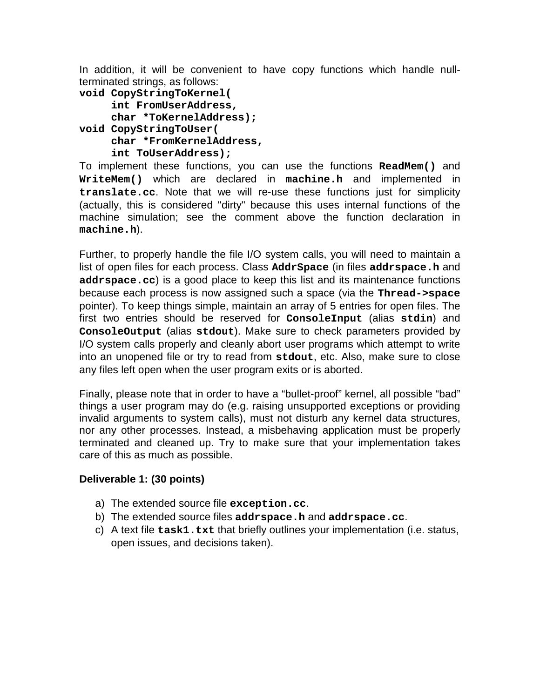In addition, it will be convenient to have copy functions which handle nullterminated strings, as follows:

```
void CopyStringToKernel(
     int FromUserAddress,
     char *ToKernelAddress);
void CopyStringToUser(
     char *FromKernelAddress,
     int ToUserAddress);
```
To implement these functions, you can use the functions **ReadMem()** and **WriteMem()** which are declared in **machine.h** and implemented in **translate.cc**. Note that we will re-use these functions just for simplicity (actually, this is considered "dirty" because this uses internal functions of the machine simulation; see the comment above the function declaration in **machine.h**).

Further, to properly handle the file I/O system calls, you will need to maintain a list of open files for each process. Class **AddrSpace** (in files **addrspace.h** and **addrspace.cc**) is a good place to keep this list and its maintenance functions because each process is now assigned such a space (via the **Thread->space** pointer). To keep things simple, maintain an array of 5 entries for open files. The first two entries should be reserved for **ConsoleInput** (alias **stdin**) and **ConsoleOutput** (alias **stdout**). Make sure to check parameters provided by I/O system calls properly and cleanly abort user programs which attempt to write into an unopened file or try to read from **stdout**, etc. Also, make sure to close any files left open when the user program exits or is aborted.

Finally, please note that in order to have a "bullet-proof" kernel, all possible "bad" things a user program may do (e.g. raising unsupported exceptions or providing invalid arguments to system calls), must not disturb any kernel data structures, nor any other processes. Instead, a misbehaving application must be properly terminated and cleaned up. Try to make sure that your implementation takes care of this as much as possible.

# **Deliverable 1: (30 points)**

- a) The extended source file **exception.cc**.
- b) The extended source files **addrspace.h** and **addrspace.cc**.
- c) A text file **task1.txt** that briefly outlines your implementation (i.e. status, open issues, and decisions taken).